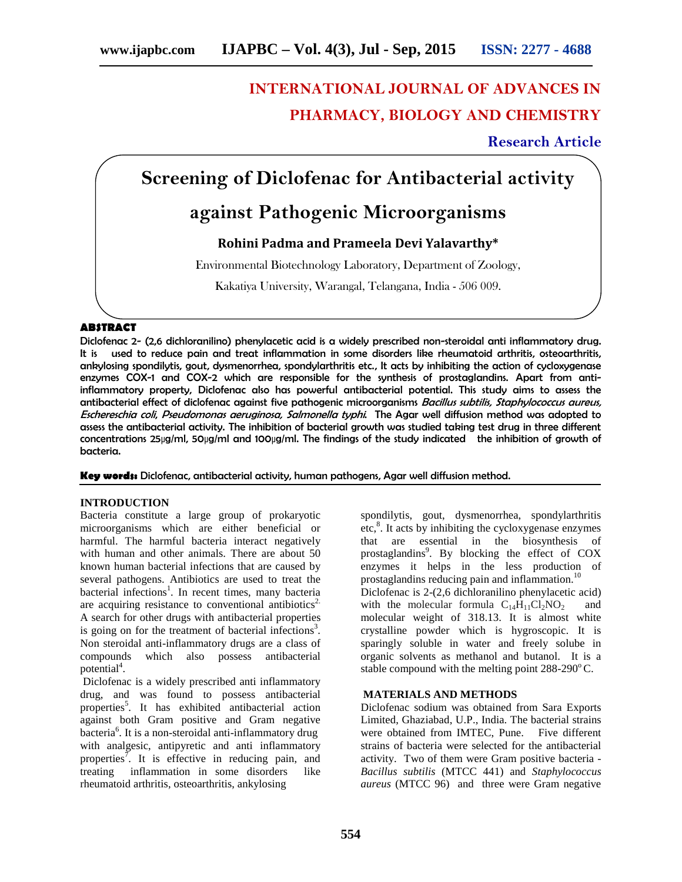# **INTERNATIONAL JOURNAL OF ADVANCES IN PHARMACY, BIOLOGY AND CHEMISTRY**

### **Research Article**

## **Screening of Diclofenac for Antibacterial activity**

## **against Pathogenic Microorganisms**

### **Rohini Padma and Prameela Devi Yalavarthy\***

Environmental Biotechnology Laboratory, Department of Zoology,

Kakatiya University, Warangal, Telangana, India - 506 009.

#### **ABSTRACT**

Diclofenac 2- (2,6 dichloranilino) phenylacetic acid is a widely prescribed non-steroidal anti inflammatory drug. It is used to reduce pain and treat inflammation in some disorders like rheumatoid arthritis, osteoarthritis, ankylosing spondilytis, gout, dysmenorrhea, spondylarthritis etc., It acts by inhibiting the action of cycloxygenase enzymes COX-1 and COX-2 which are responsible for the synthesis of prostaglandins. Apart from antiinflammatory property, Diclofenac also has powerful antibacterial potential. This study aims to assess the antibacterial effect of diclofenac against five pathogenic microorganisms *Bacillus subtilis, Staphylococcus aureus, Eschereschia coli*, *Pseudomonas aeruginosa, Salmonella typhi*. The Agar well diffusion method was adopted to assess the antibacterial activity. The inhibition of bacterial growth was studied taking test drug in three different concentrations 25µg/ml, 50µg/ml and 100µg/ml. The findings of the study indicated the inhibition of growth of bacteria.

**Key words:** Diclofenac, antibacterial activity, human pathogens, Agar well diffusion method.

#### **INTRODUCTION**

Bacteria constitute a large group of prokaryotic microorganisms which are either beneficial or harmful. The harmful bacteria interact negatively with human and other animals. There are about 50 known human bacterial infections that are caused by several pathogens. Antibiotics are used to treat the bacterial infections<sup>1</sup>. In recent times, many bacteria are acquiring resistance to conventional antibiotics<sup>2.</sup> A search for other drugs with antibacterial properties is going on for the treatment of bacterial infections<sup>3</sup>. Non steroidal anti-inflammatory drugs are a class of compounds which also possess antibacterial potential<sup>4</sup>.

Diclofenac is a widely prescribed anti inflammatory drug, and was found to possess antibacterial properties<sup>5</sup>. It has exhibited antibacterial action against both Gram positive and Gram negative bacteria<sup>6</sup> . It is a non-steroidal anti-inflammatory drug with analgesic, antipyretic and anti inflammatory properties<sup>7</sup>. It is effective in reducing pain, and treating inflammation in some disorders like rheumatoid arthritis, osteoarthritis, ankylosing

spondilytis, gout, dysmenorrhea, spondylarthritis etc,<sup>8</sup>. It acts by inhibiting the cycloxygenase enzymes that are essential in the biosynthesis of prostaglandins<sup>9</sup>. By blocking the effect of COX enzymes it helps in the less production of prostaglandins reducing pain and inflammation. $^{10}$ Diclofenac is 2-(2,6 dichloranilino phenylacetic acid) with the molecular formula  $C_{14}H_{11}Cl_2NO_2$  and molecular weight of 318.13. It is almost white crystalline powder which is hygroscopic. It is sparingly soluble in water and freely solube in organic solvents as methanol and butanol. It is a stable compound with the melting point  $288-290^{\circ}$  C.

#### **MATERIALS AND METHODS**

Diclofenac sodium was obtained from Sara Exports Limited, Ghaziabad, U.P., India. The bacterial strains were obtained from IMTEC, Pune. Five different strains of bacteria were selected for the antibacterial activity. Two of them were Gram positive bacteria - *Bacillus subtilis* (MTCC 441) and *Staphylococcus aureus* (MTCC 96) and three were Gram negative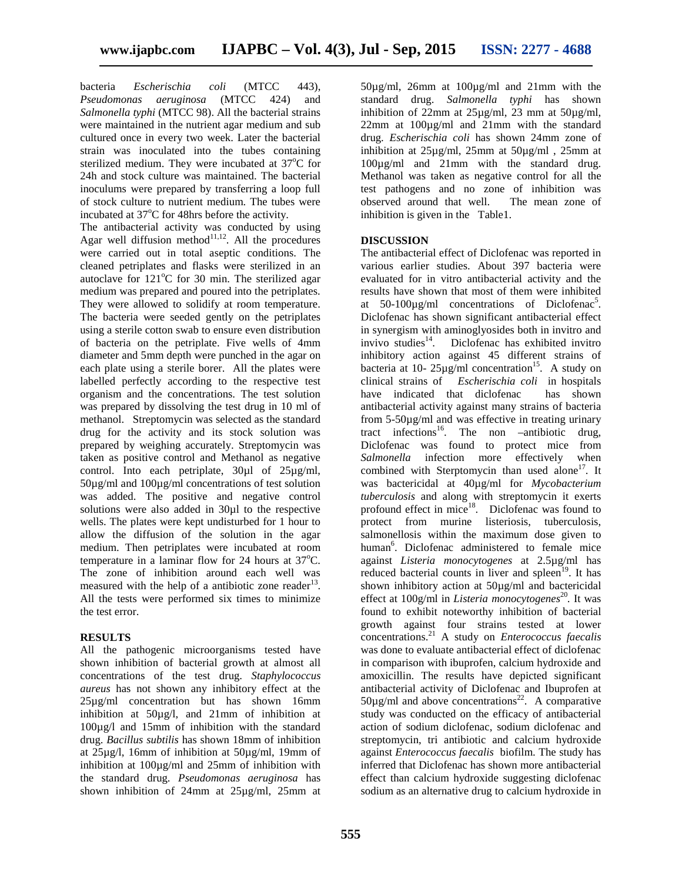bacteria *Escherischia coli* (MTCC 443), *Pseudomonas aeruginosa* (MTCC 424) and *Salmonella typhi* (MTCC 98). All the bacterial strains were maintained in the nutrient agar medium and sub cultured once in every two week. Later the bacterial strain was inoculated into the tubes containing sterilized medium. They were incubated at  $37^{\circ}$ C for 24h and stock culture was maintained. The bacterial inoculums were prepared by transferring a loop full of stock culture to nutrient medium. The tubes were incubated at  $37^{\circ}$ C for 48hrs before the activity.

The antibacterial activity was conducted by using Agar well diffusion method $11,12$ . All the procedures were carried out in total aseptic conditions. The cleaned petriplates and flasks were sterilized in an autoclave for  $121^{\circ}$ C for 30 min. The sterilized agar medium was prepared and poured into the petriplates. They were allowed to solidify at room temperature. The bacteria were seeded gently on the petriplates using a sterile cotton swab to ensure even distribution of bacteria on the petriplate. Five wells of 4mm diameter and 5mm depth were punched in the agar on each plate using a sterile borer. All the plates were labelled perfectly according to the respective test organism and the concentrations. The test solution was prepared by dissolving the test drug in 10 ml of methanol. Streptomycin was selected as the standard drug for the activity and its stock solution was prepared by weighing accurately. Streptomycin was taken as positive control and Methanol as negative control. Into each petriplate, 30µl of 25µg/ml, 50µg/ml and 100µg/ml concentrations of test solution was added. The positive and negative control solutions were also added in 30µl to the respective wells. The plates were kept undisturbed for 1 hour to allow the diffusion of the solution in the agar medium. Then petriplates were incubated at room temperature in a laminar flow for 24 hours at  $37^{\circ}$ C. The zone of inhibition around each well was measured with the help of a antibiotic zone reader  $13$ . All the tests were performed six times to minimize the test error.

#### **RESULTS**

All the pathogenic microorganisms tested have shown inhibition of bacterial growth at almost all concentrations of the test drug. *Staphylococcus aureus* has not shown any inhibitory effect at the 25µg/ml concentration but has shown 16mm inhibition at 50µg/l, and 21mm of inhibition at 100µg/l and 15mm of inhibition with the standard drug. *Bacillus subtilis* has shown 18mm of inhibition at 25µg/l, 16mm of inhibition at 50µg/ml, 19mm of inhibition at 100µg/ml and 25mm of inhibition with the standard drug. *Pseudomonas aeruginosa* has shown inhibition of 24mm at 25µg/ml, 25mm at

50µg/ml, 26mm at 100µg/ml and 21mm with the standard drug. *Salmonella typhi* has shown inhibition of 22mm at  $25\mu g/ml$ , 23 mm at  $50\mu g/ml$ , 22mm at 100µg/ml and 21mm with the standard drug. *Escherischia coli* has shown 24mm zone of inhibition at 25µg/ml, 25mm at 50µg/ml , 25mm at 100µg/ml and 21mm with the standard drug. Methanol was taken as negative control for all the test pathogens and no zone of inhibition was observed around that well. The mean zone of inhibition is given in the Table1.

#### **DISCUSSION**

The antibacterial effect of Diclofenac was reported in various earlier studies. About 397 bacteria were evaluated for in vitro antibacterial activity and the results have shown that most of them were inhibited at 50-100 $\mu$ g/ml concentrations of Diclofenac<sup>5</sup>. Diclofenac has shown significant antibacterial effect in synergism with aminoglyosides both in invitro and invivo studies $^{14}$ . . Diclofenac has exhibited invitro inhibitory action against 45 different strains of bacteria at 10-  $25\mu\text{g/ml}$  concentration<sup>15</sup>. A study on clinical strains of *Escherischia coli* in hospitals have indicated that diclofenac has shown antibacterial activity against many strains of bacteria from 5-50µg/ml and was effective in treating urinary tract infections<sup>16</sup>. The non –antibiotic drug, Diclofenac was found to protect mice from *Salmonella* infection more effectively when combined with Sterptomycin than used alone<sup>17</sup>. It was bactericidal at 40µg/ml for *Mycobacterium tuberculosis* and along with streptomycin it exerts profound effect in mice<sup>18</sup>. Diclofenac was found to protect from murine listeriosis, tuberculosis, salmonellosis within the maximum dose given to human<sup>6</sup>. Diclofenac administered to female mice against *Listeria monocytogenes* at 2.5µg/ml has reduced bacterial counts in liver and spleen<sup>19</sup>. It has shown inhibitory action at  $50\mu g/ml$  and bactericidal effect at 100g/ml in *Listeria monocytogenes*<sup>20</sup>. It was found to exhibit noteworthy inhibition of bacterial growth against four strains tested at lower concentrations.<sup>21</sup> A study on *Enterococcus faecalis* was done to evaluate antibacterial effect of diclofenac in comparison with ibuprofen, calcium hydroxide and amoxicillin. The results have depicted significant antibacterial activity of Diclofenac and Ibuprofen at  $50\mu$ g/ml and above concentrations<sup>22</sup>. A comparative study was conducted on the efficacy of antibacterial action of sodium diclofenac, sodium diclofenac and streptomycin, tri antibiotic and calcium hydroxide against *Enterococcus faecalis* biofilm. The study has inferred that Diclofenac has shown more antibacterial effect than calcium hydroxide suggesting diclofenac sodium as an alternative drug to calcium hydroxide in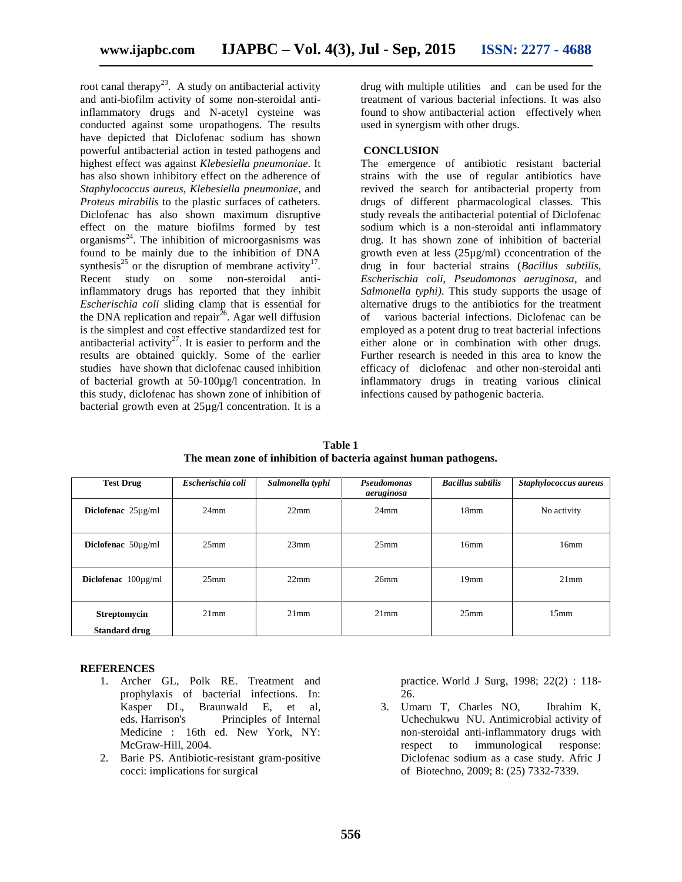root canal therapy<sup>23</sup>. A study on antibacterial activity and anti-biofilm activity of some non-steroidal antiinflammatory drugs and N-acetyl cysteine was conducted against some uropathogens. The results have depicted that Diclofenac sodium has shown powerful antibacterial action in tested pathogens and highest effect was against *Klebesiella pneumoniae*. It has also shown inhibitory effect on the adherence of *Staphylococcus aureus, Klebesiella pneumoniae*, and *Proteus mirabilis* to the plastic surfaces of catheters*.* Diclofenac has also shown maximum disruptive effect on the mature biofilms formed by test organisms<sup>24</sup>. The inhibition of microorgasnisms was found to be mainly due to the inhibition of DNA synthesis<sup>25</sup> or the disruption of membrane activity<sup>17</sup>. Recent study on some non-steroidal antiinflammatory drugs has reported that they inhibit *Escherischia coli* sliding clamp that is essential for the DNA replication and repair<sup> $26$ </sup>. Agar well diffusion is the simplest and cost effective standardized test for antibacterial activity<sup>27</sup>. It is easier to perform and the results are obtained quickly. Some of the earlier studies have shown that diclofenac caused inhibition of bacterial growth at 50-100µg/l concentration. In this study, diclofenac has shown zone of inhibition of bacterial growth even at 25µg/l concentration. It is a

drug with multiple utilities and can be used for the treatment of various bacterial infections. It was also found to show antibacterial action effectively when used in synergism with other drugs.

#### **CONCLUSION**

The emergence of antibiotic resistant bacterial strains with the use of regular antibiotics have revived the search for antibacterial property from drugs of different pharmacological classes. This study reveals the antibacterial potential of Diclofenac sodium which is a non-steroidal anti inflammatory drug. It has shown zone of inhibition of bacterial growth even at less (25µg/ml) cconcentration of the drug in four bacterial strains (*Bacillus subtilis, Escherischia coli*, *Pseudomonas aeruginosa*, and *Salmonella typhi)*. This study supports the usage of alternative drugs to the antibiotics for the treatment of various bacterial infections. Diclofenac can be employed as a potent drug to treat bacterial infections either alone or in combination with other drugs. Further research is needed in this area to know the efficacy of diclofenac and other non-steroidal anti inflammatory drugs in treating various clinical infections caused by pathogenic bacteria.

**Table 1 The mean zone of inhibition of bacteria against human pathogens.**

| <b>Test Drug</b>                            | Escherischia coli | Salmonella typhi | Pseudomonas<br>aeruginosa | <b>Bacillus subtilis</b> | Staphylococcus aureus |
|---------------------------------------------|-------------------|------------------|---------------------------|--------------------------|-----------------------|
| Diclofenac $25\mu g/ml$                     | $24$ mm           | 22mm             | $24$ mm                   | 18 <sub>mm</sub>         | No activity           |
| Diclofenac $50\mu\text{g/ml}$               | 25 <sub>mm</sub>  | 23mm             | $25$ mm                   | 16 <sub>mm</sub>         | 16mm                  |
| Diclofenac $100\mu\text{g/ml}$              | 25 <sub>mm</sub>  | 22mm             | 26mm                      | $19$ mm                  | 21mm                  |
| <b>Streptomycin</b><br><b>Standard drug</b> | $21$ mm           | $21$ mm          | $21$ mm                   | 25 <sub>mm</sub>         | 15 <sub>mm</sub>      |

#### **REFERENCES**

- 1. Archer GL, Polk RE. Treatment and prophylaxis of bacterial infections. In: Kasper DL, Braunwald E, et al, eds. Harrison's Principles of Internal Medicine : 16th ed. New York, NY: McGraw-Hill, 2004.
- 2. Barie PS. Antibiotic-resistant gram-positive cocci: implications for surgical

practice. World J Surg, 1998; 22(2) : 118- 26.

3. Umaru T, Charles NO, Ibrahim K, Uchechukwu NU. Antimicrobial activity of non-steroidal anti-inflammatory drugs with respect to immunological response: Diclofenac sodium as a case study. Afric J of Biotechno, 2009; 8: (25) 7332-7339.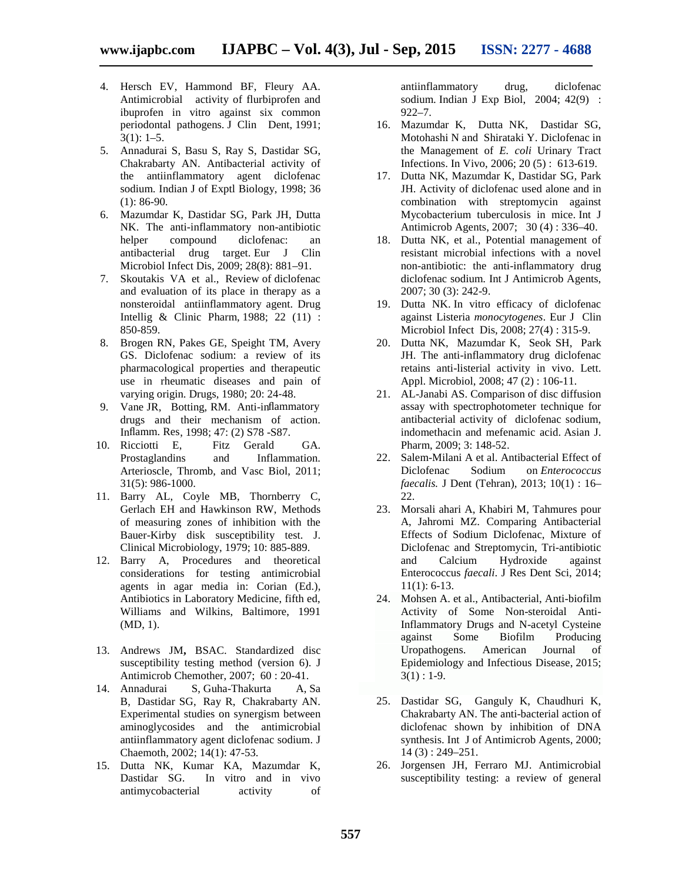- 4. Hersch EV, Hammond BF, Fleury AA. Antimicrobial activity of flurbiprofen and ibuprofen in vitro against six common periodontal pathogens. J Clin Dent, 1991;  $3(1): 1-5.$
- 5. Annadurai S, Basu S, Ray S, Dastidar SG, Chakrabarty AN. Antibacterial activity of the antiinflammatory agent diclofenac sodium. Indian J of Exptl Biology, 1998; 36 (1): 86-90.
- 6. Mazumdar K, Dastidar SG, Park JH, Dutta NK. The anti-inflammatory non-antibiotic helper compound diclofenac: an antibacterial drug target. Eur J Clin Microbiol Infect Dis, 2009; 28(8): 881–91.
- 7. Skoutakis VA et al., Review of diclofenac and evaluation of its place in therapy as a nonsteroidal antiinflammatory agent. Drug Intellig & Clinic Pharm, 1988; 22 (11) : 850-859.
- 8. Brogen RN, Pakes GE, Speight TM, Avery GS. Diclofenac sodium: a review of its pharmacological properties and therapeutic use in rheumatic diseases and pain of varying origin. Drugs, 1980; 20: 24‐48.
- 9. Vane JR, Botting, RM. Anti-inflammatory drugs and their mechanism of action. Inflamm. Res, 1998; 47: (2) S78 -S87.
- 10. Ricciotti E, Fitz Gerald GA. Prostaglandins and Inflammation. Arterioscle, Thromb, and Vasc Biol, 2011; 31(5): 986-1000.
- 11. Barry AL, Coyle MB, Thornberry C, Gerlach EH and Hawkinson RW, Methods of measuring zones of inhibition with the Bauer-Kirby disk susceptibility test. J. Clinical Microbiology, 1979; 10: 885-889.
- 12. Barry A, Procedures and theoretical considerations for testing antimicrobial agents in agar media in: Corian (Ed.), Antibiotics in Laboratory Medicine, fifth ed, Williams and Wilkins, Baltimore, 1991 (MD, 1).
- 13. Andrews JM**,** BSAC. Standardized disc susceptibility testing method (version 6). J Antimicrob Chemother, 2007; 60 : 20-41.
- 14. Annadurai S, Guha-Thakurta A, Sa B, Dastidar SG, Ray R, Chakrabarty AN. Experimental studies on synergism between aminoglycosides and the antimicrobial antiinflammatory agent diclofenac sodium. J Chaemoth, 2002; 14(1): 47-53.
- 15. Dutta NK, Kumar KA, Mazumdar K, Dastidar SG. In vitro and in vivo antimycobacterial activity of

antiinflammatory drug, diclofenac sodium. Indian J Exp Biol, 2004; 42(9) : 922–7.

- 16. Mazumdar K, Dutta NK, Dastidar SG, Motohashi N and Shirataki Y. Diclofenac in the Management of *E. coli* Urinary Tract Infections. In Vivo, 2006; 20 (5) : 613-619.
- 17. Dutta NK, Mazumdar K, Dastidar SG, Park JH. Activity of diclofenac used alone and in combination with streptomycin against Mycobacterium tuberculosis in mice. Int J Antimicrob Agents, 2007; 30 (4) : 336–40.
- 18. Dutta NK, et al., Potential management of resistant microbial infections with a novel non-antibiotic: the anti-inflammatory drug diclofenac sodium. Int J Antimicrob Agents, 2007; 30 (3): 242-9.
- 19. Dutta NK. In vitro efficacy of diclofenac against Listeria *monocytogenes*. Eur J Clin Microbiol Infect Dis, 2008; 27(4) : 315-9.
- 20. Dutta NK, Mazumdar K, Seok SH, Park JH. The anti-inflammatory drug diclofenac retains anti-listerial activity in vivo. Lett. Appl. Microbiol, 2008; 47 (2) : 106-11.
- 21. AL-Janabi AS. Comparison of disc diffusion assay with spectrophotometer technique for antibacterial activity of diclofenac sodium, indomethacin and mefenamic acid. Asian J. Pharm, 2009; 3: 148-52.
- 22. Salem-Milani A et al. Antibacterial Effect of Diclofenac Sodium on *Enterococcus faecalis.* J Dent (Tehran), 2013; 10(1) : 16– 22.
- 23. Morsali ahari A, Khabiri M, Tahmures pour A, Jahromi MZ. Comparing Antibacterial Effects of Sodium Diclofenac, Mixture of Diclofenac and Streptomycin, Tri-antibiotic and Calcium Hydroxide against Enterococcus *faecali*. J Res Dent Sci, 2014; 11(1): 6-13.
- 24. Mohsen A. et al., Antibacterial, Anti-biofilm Activity of Some Non-steroidal Anti-Inflammatory Drugs and N-acetyl Cysteine against Some Biofilm Producing Uropathogens. American Journal of Epidemiology and Infectious Disease, 2015;  $3(1) : 1-9.$
- 25. Dastidar SG, Ganguly K, Chaudhuri K, Chakrabarty AN. The anti-bacterial action of diclofenac shown by inhibition of DNA synthesis. Int J of Antimicrob Agents, 2000; 14 (3) : 249–251.
- 26. Jorgensen JH, Ferraro MJ. Antimicrobial susceptibility testing: a review of general